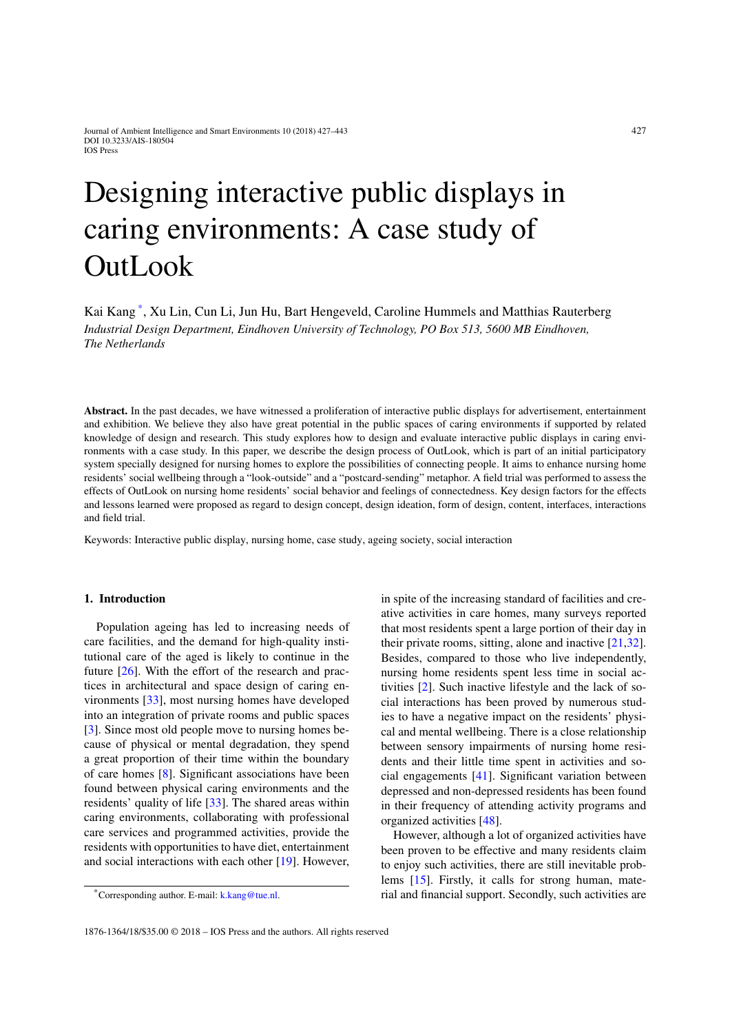# Designing interactive public displays in caring environments: A case study of OutLook

Kai Kang [\\*](#page-0-0), Xu Lin, Cun Li, Jun Hu, Bart Hengeveld, Caroline Hummels and Matthias Rauterberg *Industrial Design Department, Eindhoven University of Technology, PO Box 513, 5600 MB Eindhoven, The Netherlands*

**Abstract.** In the past decades, we have witnessed a proliferation of interactive public displays for advertisement, entertainment and exhibition. We believe they also have great potential in the public spaces of caring environments if supported by related knowledge of design and research. This study explores how to design and evaluate interactive public displays in caring environments with a case study. In this paper, we describe the design process of OutLook, which is part of an initial participatory system specially designed for nursing homes to explore the possibilities of connecting people. It aims to enhance nursing home residents' social wellbeing through a "look-outside" and a "postcard-sending" metaphor. A field trial was performed to assess the effects of OutLook on nursing home residents' social behavior and feelings of connectedness. Key design factors for the effects and lessons learned were proposed as regard to design concept, design ideation, form of design, content, interfaces, interactions and field trial.

Keywords: Interactive public display, nursing home, case study, ageing society, social interaction

#### **1. Introduction**

Population ageing has led to increasing needs of care facilities, and the demand for high-quality institutional care of the aged is likely to continue in the future [\[26](#page-16-0)]. With the effort of the research and practices in architectural and space design of caring environments [\[33\]](#page-16-1), most nursing homes have developed into an integration of private rooms and public spaces [\[3\]](#page-15-0). Since most old people move to nursing homes because of physical or mental degradation, they spend a great proportion of their time within the boundary of care homes [\[8](#page-15-1)]. Significant associations have been found between physical caring environments and the residents' quality of life [\[33\]](#page-16-1). The shared areas within caring environments, collaborating with professional care services and programmed activities, provide the residents with opportunities to have diet, entertainment and social interactions with each other [\[19](#page-15-2)]. However, in spite of the increasing standard of facilities and creative activities in care homes, many surveys reported that most residents spent a large portion of their day in their private rooms, sitting, alone and inactive [\[21](#page-15-3)[,32\]](#page-16-2). Besides, compared to those who live independently, nursing home residents spent less time in social activities [\[2\]](#page-15-4). Such inactive lifestyle and the lack of social interactions has been proved by numerous studies to have a negative impact on the residents' physical and mental wellbeing. There is a close relationship between sensory impairments of nursing home residents and their little time spent in activities and social engagements [\[41\]](#page-16-3). Significant variation between depressed and non-depressed residents has been found in their frequency of attending activity programs and organized activities [\[48\]](#page-16-4).

However, although a lot of organized activities have been proven to be effective and many residents claim to enjoy such activities, there are still inevitable problems [\[15](#page-15-5)]. Firstly, it calls for strong human, material and financial support. Secondly, such activities are

<span id="page-0-0"></span><sup>\*</sup>Corresponding author. E-mail: [k.kang@tue.nl.](mailto:k.kang@tue.nl)

<sup>1876-1364/18/\$35.00 © 2018 –</sup> IOS Press and the authors. All rights reserved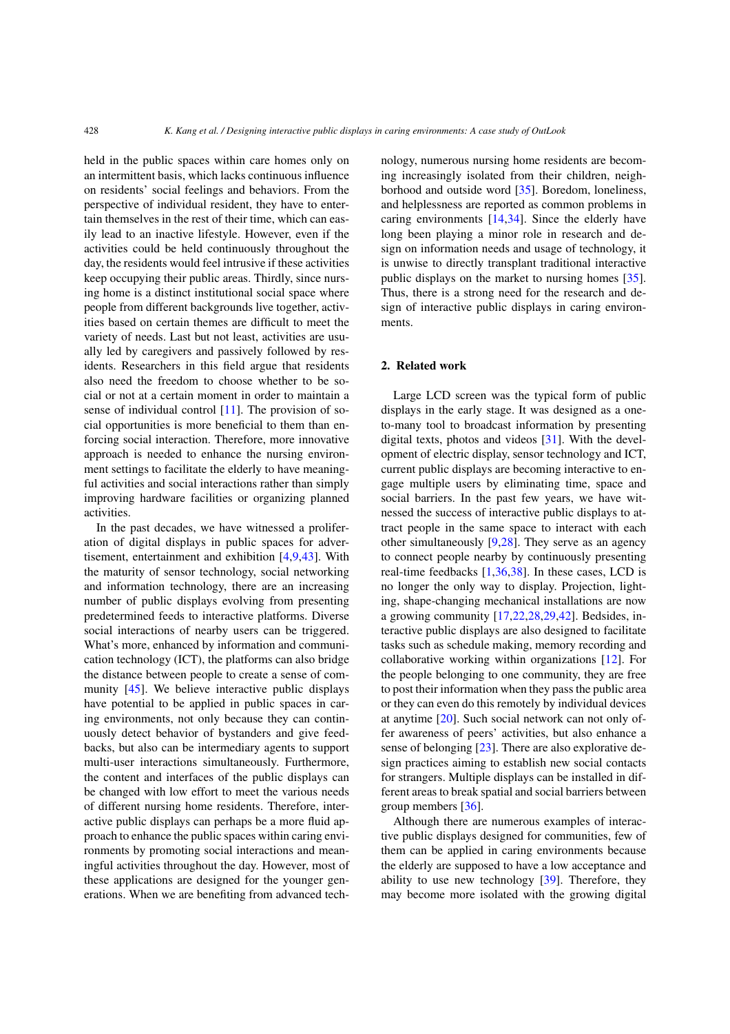held in the public spaces within care homes only on an intermittent basis, which lacks continuous influence on residents' social feelings and behaviors. From the perspective of individual resident, they have to entertain themselves in the rest of their time, which can easily lead to an inactive lifestyle. However, even if the activities could be held continuously throughout the day, the residents would feel intrusive if these activities keep occupying their public areas. Thirdly, since nursing home is a distinct institutional social space where people from different backgrounds live together, activities based on certain themes are difficult to meet the variety of needs. Last but not least, activities are usually led by caregivers and passively followed by residents. Researchers in this field argue that residents also need the freedom to choose whether to be social or not at a certain moment in order to maintain a sense of individual control  $[11]$ . The provision of social opportunities is more beneficial to them than enforcing social interaction. Therefore, more innovative approach is needed to enhance the nursing environment settings to facilitate the elderly to have meaningful activities and social interactions rather than simply improving hardware facilities or organizing planned activities.

In the past decades, we have witnessed a proliferation of digital displays in public spaces for advertisement, entertainment and exhibition [\[4](#page-15-7)[,9](#page-15-8)[,43\]](#page-16-5). With the maturity of sensor technology, social networking and information technology, there are an increasing number of public displays evolving from presenting predetermined feeds to interactive platforms. Diverse social interactions of nearby users can be triggered. What's more, enhanced by information and communication technology (ICT), the platforms can also bridge the distance between people to create a sense of community [\[45\]](#page-16-6). We believe interactive public displays have potential to be applied in public spaces in caring environments, not only because they can continuously detect behavior of bystanders and give feedbacks, but also can be intermediary agents to support multi-user interactions simultaneously. Furthermore, the content and interfaces of the public displays can be changed with low effort to meet the various needs of different nursing home residents. Therefore, interactive public displays can perhaps be a more fluid approach to enhance the public spaces within caring environments by promoting social interactions and meaningful activities throughout the day. However, most of these applications are designed for the younger generations. When we are benefiting from advanced technology, numerous nursing home residents are becoming increasingly isolated from their children, neighborhood and outside word [\[35\]](#page-16-7). Boredom, loneliness, and helplessness are reported as common problems in caring environments [\[14](#page-15-9)[,34\]](#page-16-8). Since the elderly have long been playing a minor role in research and design on information needs and usage of technology, it is unwise to directly transplant traditional interactive public displays on the market to nursing homes [\[35\]](#page-16-7). Thus, there is a strong need for the research and design of interactive public displays in caring environments.

## **2. Related work**

Large LCD screen was the typical form of public displays in the early stage. It was designed as a oneto-many tool to broadcast information by presenting digital texts, photos and videos [\[31\]](#page-16-9). With the development of electric display, sensor technology and ICT, current public displays are becoming interactive to engage multiple users by eliminating time, space and social barriers. In the past few years, we have witnessed the success of interactive public displays to attract people in the same space to interact with each other simultaneously [\[9](#page-15-8)[,28](#page-16-10)]. They serve as an agency to connect people nearby by continuously presenting real-time feedbacks [\[1](#page-15-10)[,36](#page-16-11)[,38](#page-16-12)]. In these cases, LCD is no longer the only way to display. Projection, lighting, shape-changing mechanical installations are now a growing community [\[17](#page-15-11)[,22](#page-15-12)[,28](#page-16-10)[,29](#page-16-13)[,42\]](#page-16-14). Bedsides, interactive public displays are also designed to facilitate tasks such as schedule making, memory recording and collaborative working within organizations [\[12](#page-15-13)]. For the people belonging to one community, they are free to post their information when they pass the public area or they can even do this remotely by individual devices at anytime [\[20\]](#page-15-14). Such social network can not only offer awareness of peers' activities, but also enhance a sense of belonging [\[23\]](#page-16-15). There are also explorative design practices aiming to establish new social contacts for strangers. Multiple displays can be installed in different areas to break spatial and social barriers between group members [\[36\]](#page-16-11).

Although there are numerous examples of interactive public displays designed for communities, few of them can be applied in caring environments because the elderly are supposed to have a low acceptance and ability to use new technology [\[39](#page-16-16)]. Therefore, they may become more isolated with the growing digital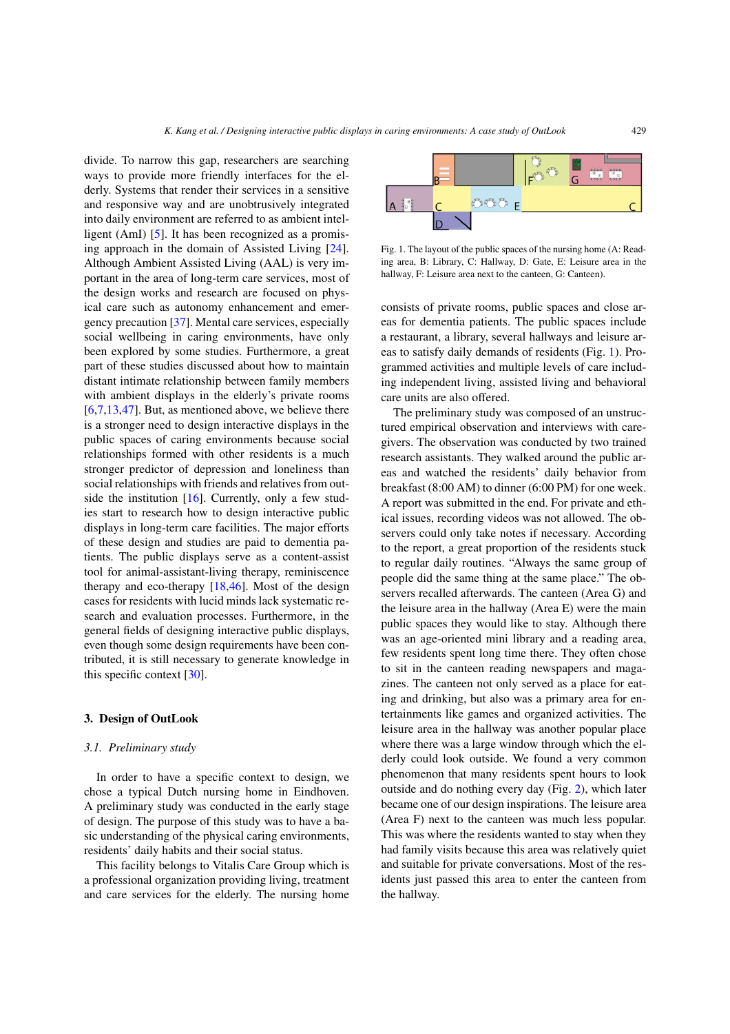divide. To narrow this gap, researchers are searching ways to provide more friendly interfaces for the elderly. Systems that render their services in a sensitive and responsive way and are unobtrusively integrated into daily environment are referred to as ambient intelligent (AmI) [\[5\]](#page-15-15). It has been recognized as a promising approach in the domain of Assisted Living [\[24\]](#page-16-17). Although Ambient Assisted Living (AAL) is very important in the area of long-term care services, most of the design works and research are focused on physical care such as autonomy enhancement and emergency precaution [\[37\]](#page-16-18). Mental care services, especially social wellbeing in caring environments, have only been explored by some studies. Furthermore, a great part of these studies discussed about how to maintain distant intimate relationship between family members with ambient displays in the elderly's private rooms  $[6,7,13,47]$  $[6,7,13,47]$  $[6,7,13,47]$  $[6,7,13,47]$  $[6,7,13,47]$ . But, as mentioned above, we believe there is a stronger need to design interactive displays in the public spaces of caring environments because social relationships formed with other residents is a much stronger predictor of depression and loneliness than social relationships with friends and relatives from outside the institution [\[16](#page-15-19)]. Currently, only a few studies start to research how to design interactive public displays in long-term care facilities. The major efforts of these design and studies are paid to dementia patients. The public displays serve as a content-assist tool for animal-assistant-living therapy, reminiscence therapy and eco-therapy  $[18, 46]$  $[18, 46]$ . Most of the design cases for residents with lucid minds lack systematic research and evaluation processes. Furthermore, in the general fields of designing interactive public displays, even though some design requirements have been contributed, it is still necessary to generate knowledge in this specific context [\[30](#page-16-21)].

#### **3. Design of OutLook**

#### *3.1. Preliminary study*

In order to have a specific context to design, we chose a typical Dutch nursing home in Eindhoven. A preliminary study was conducted in the early stage of design. The purpose of this study was to have a basic understanding of the physical caring environments, residents' daily habits and their social status.

This facility belongs to Vitalis Care Group which is a professional organization providing living, treatment and care services for the elderly. The nursing home



<span id="page-2-0"></span>Fig. 1. The layout of the public spaces of the nursing home (A: Reading area, B: Library, C: Hallway, D: Gate, E: Leisure area in the hallway, F: Leisure area next to the canteen, G: Canteen).

consists of private rooms, public spaces and close areas for dementia patients. The public spaces include a restaurant, a library, several hallways and leisure areas to satisfy daily demands of residents (Fig. [1\)](#page-2-0). Programmed activities and multiple levels of care including independent living, assisted living and behavioral care units are also offered.

The preliminary study was composed of an unstructured empirical observation and interviews with caregivers. The observation was conducted by two trained research assistants. They walked around the public areas and watched the residents' daily behavior from breakfast (8:00 AM) to dinner (6:00 PM) for one week. A report was submitted in the end. For private and ethical issues, recording videos was not allowed. The observers could only take notes if necessary. According to the report, a great proportion of the residents stuck to regular daily routines. "Always the same group of people did the same thing at the same place." The observers recalled afterwards. The canteen (Area G) and the leisure area in the hallway (Area E) were the main public spaces they would like to stay. Although there was an age-oriented mini library and a reading area, few residents spent long time there. They often chose to sit in the canteen reading newspapers and magazines. The canteen not only served as a place for eating and drinking, but also was a primary area for entertainments like games and organized activities. The leisure area in the hallway was another popular place where there was a large window through which the elderly could look outside. We found a very common phenomenon that many residents spent hours to look outside and do nothing every day (Fig. [2\)](#page-3-0), which later became one of our design inspirations. The leisure area (Area F) next to the canteen was much less popular. This was where the residents wanted to stay when they had family visits because this area was relatively quiet and suitable for private conversations. Most of the residents just passed this area to enter the canteen from the hallway.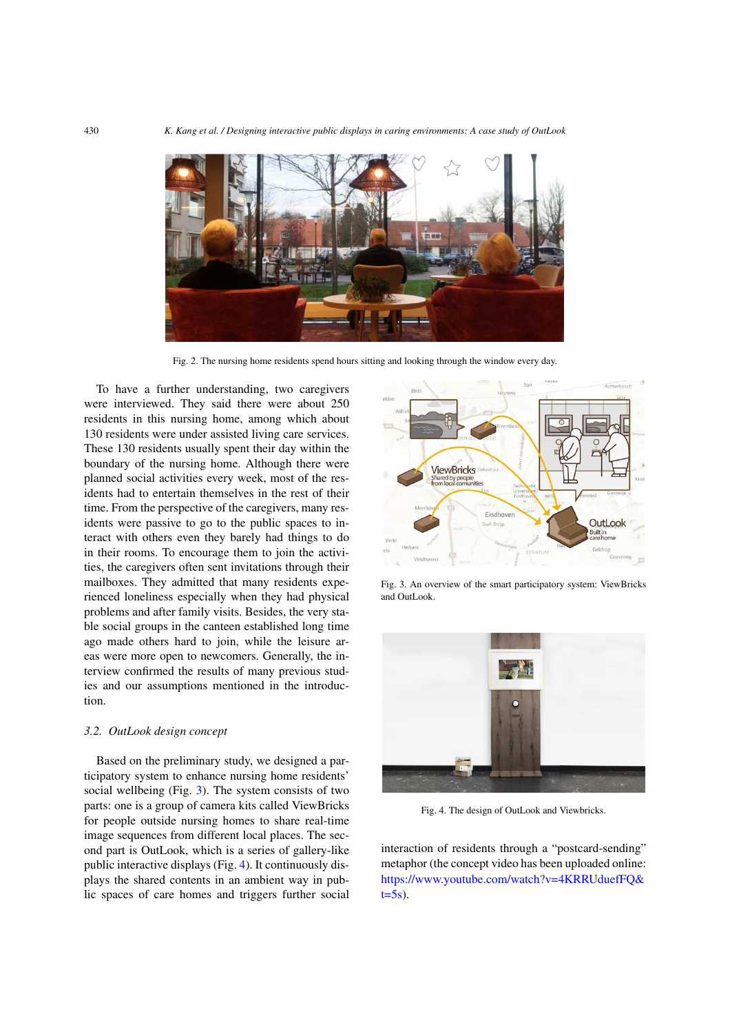

Fig. 2. The nursing home residents spend hours sitting and looking through the window every day.

<span id="page-3-0"></span>To have a further understanding, two caregivers were interviewed. They said there were about 250 residents in this nursing home, among which about 130 residents were under assisted living care services. These 130 residents usually spent their day within the boundary of the nursing home. Although there were planned social activities every week, most of the residents had to entertain themselves in the rest of their time. From the perspective of the caregivers, many residents were passive to go to the public spaces to interact with others even they barely had things to do in their rooms. To encourage them to join the activities, the caregivers often sent invitations through their mailboxes. They admitted that many residents experienced loneliness especially when they had physical problems and after family visits. Besides, the very stable social groups in the canteen established long time ago made others hard to join, while the leisure areas were more open to newcomers. Generally, the interview confirmed the results of many previous studies and our assumptions mentioned in the introduction.

## *3.2. OutLook design concept*

Based on the preliminary study, we designed a participatory system to enhance nursing home residents' social wellbeing (Fig. [3\)](#page-3-1). The system consists of two parts: one is a group of camera kits called ViewBricks for people outside nursing homes to share real-time image sequences from different local places. The second part is OutLook, which is a series of gallery-like public interactive displays (Fig. [4\)](#page-3-2). It continuously displays the shared contents in an ambient way in public spaces of care homes and triggers further social



<span id="page-3-1"></span>Fig. 3. An overview of the smart participatory system: ViewBricks and OutLook.



Fig. 4. The design of OutLook and Viewbricks.

<span id="page-3-2"></span>interaction of residents through a "postcard-sending" metaphor (the concept video has been uploaded online: [https://www.youtube.com/watch?v=4KRRUduefFQ&](https://www.youtube.com/watch?v=4KRRUduefFQ&t=5s)  $t=5s$ ).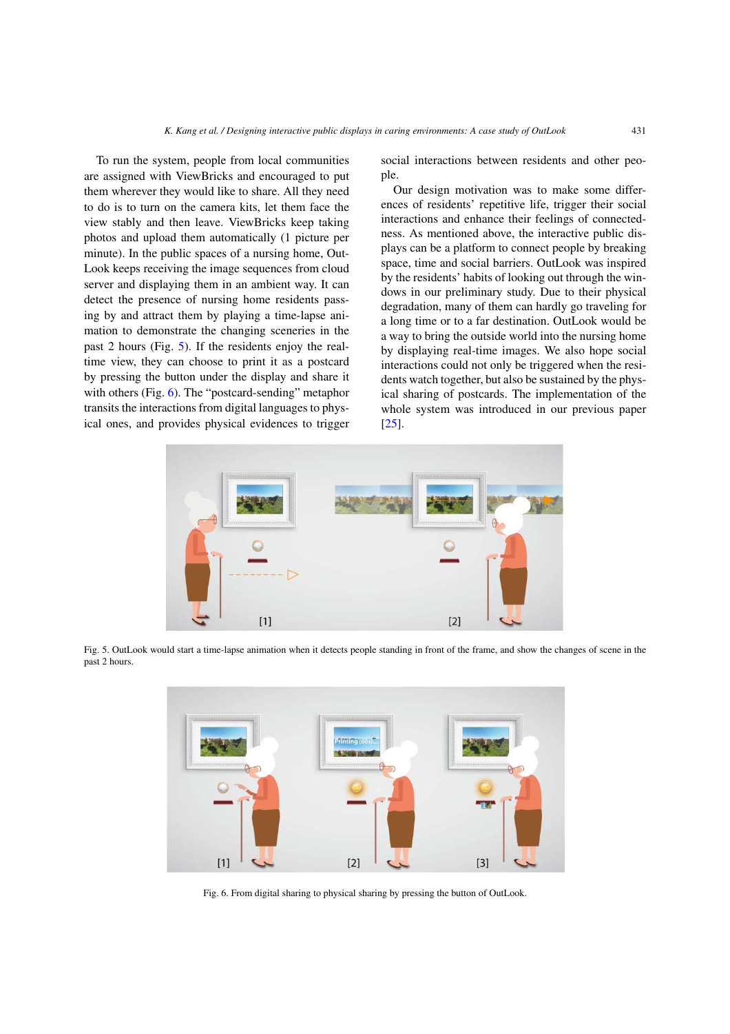To run the system, people from local communities are assigned with ViewBricks and encouraged to put them wherever they would like to share. All they need to do is to turn on the camera kits, let them face the view stably and then leave. ViewBricks keep taking photos and upload them automatically (1 picture per minute). In the public spaces of a nursing home, Out-Look keeps receiving the image sequences from cloud server and displaying them in an ambient way. It can detect the presence of nursing home residents passing by and attract them by playing a time-lapse animation to demonstrate the changing sceneries in the past 2 hours (Fig. [5\)](#page-4-0). If the residents enjoy the realtime view, they can choose to print it as a postcard by pressing the button under the display and share it with others (Fig. [6\)](#page-4-1). The "postcard-sending" metaphor transits the interactions from digital languages to physical ones, and provides physical evidences to trigger social interactions between residents and other people.

Our design motivation was to make some differences of residents' repetitive life, trigger their social interactions and enhance their feelings of connectedness. As mentioned above, the interactive public displays can be a platform to connect people by breaking space, time and social barriers. OutLook was inspired by the residents' habits of looking out through the windows in our preliminary study. Due to their physical degradation, many of them can hardly go traveling for a long time or to a far destination. OutLook would be a way to bring the outside world into the nursing home by displaying real-time images. We also hope social interactions could not only be triggered when the residents watch together, but also be sustained by the physical sharing of postcards. The implementation of the whole system was introduced in our previous paper [\[25\]](#page-16-22).



<span id="page-4-0"></span>Fig. 5. OutLook would start a time-lapse animation when it detects people standing in front of the frame, and show the changes of scene in the past 2 hours.



<span id="page-4-1"></span>Fig. 6. From digital sharing to physical sharing by pressing the button of OutLook.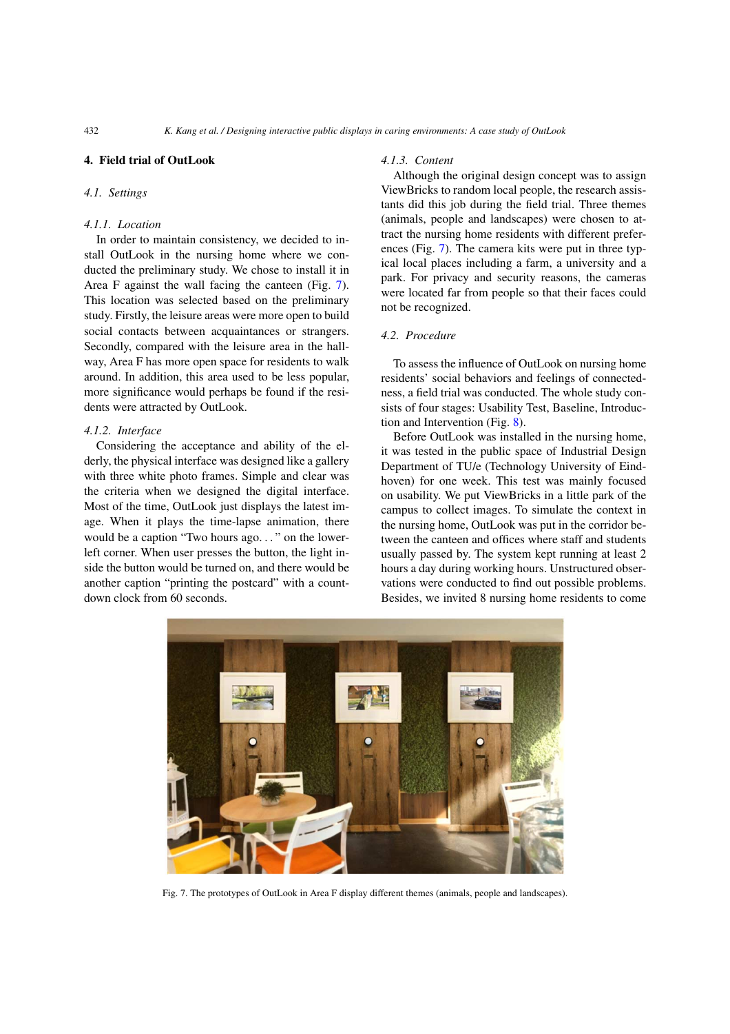# **4. Field trial of OutLook**

## *4.1. Settings*

# *4.1.1. Location*

In order to maintain consistency, we decided to install OutLook in the nursing home where we conducted the preliminary study. We chose to install it in Area F against the wall facing the canteen (Fig. [7\)](#page-5-0). This location was selected based on the preliminary study. Firstly, the leisure areas were more open to build social contacts between acquaintances or strangers. Secondly, compared with the leisure area in the hallway, Area F has more open space for residents to walk around. In addition, this area used to be less popular, more significance would perhaps be found if the residents were attracted by OutLook.

## *4.1.2. Interface*

Considering the acceptance and ability of the elderly, the physical interface was designed like a gallery with three white photo frames. Simple and clear was the criteria when we designed the digital interface. Most of the time, OutLook just displays the latest image. When it plays the time-lapse animation, there would be a caption "Two hours ago*...* " on the lowerleft corner. When user presses the button, the light inside the button would be turned on, and there would be another caption "printing the postcard" with a countdown clock from 60 seconds.

#### *4.1.3. Content*

Although the original design concept was to assign ViewBricks to random local people, the research assistants did this job during the field trial. Three themes (animals, people and landscapes) were chosen to attract the nursing home residents with different preferences (Fig. [7\)](#page-5-0). The camera kits were put in three typical local places including a farm, a university and a park. For privacy and security reasons, the cameras were located far from people so that their faces could not be recognized.

# *4.2. Procedure*

To assess the influence of OutLook on nursing home residents' social behaviors and feelings of connectedness, a field trial was conducted. The whole study consists of four stages: Usability Test, Baseline, Introduction and Intervention (Fig. [8\)](#page-6-0).

Before OutLook was installed in the nursing home, it was tested in the public space of Industrial Design Department of TU/e (Technology University of Eindhoven) for one week. This test was mainly focused on usability. We put ViewBricks in a little park of the campus to collect images. To simulate the context in the nursing home, OutLook was put in the corridor between the canteen and offices where staff and students usually passed by. The system kept running at least 2 hours a day during working hours. Unstructured observations were conducted to find out possible problems. Besides, we invited 8 nursing home residents to come

<span id="page-5-0"></span>

Fig. 7. The prototypes of OutLook in Area F display different themes (animals, people and landscapes).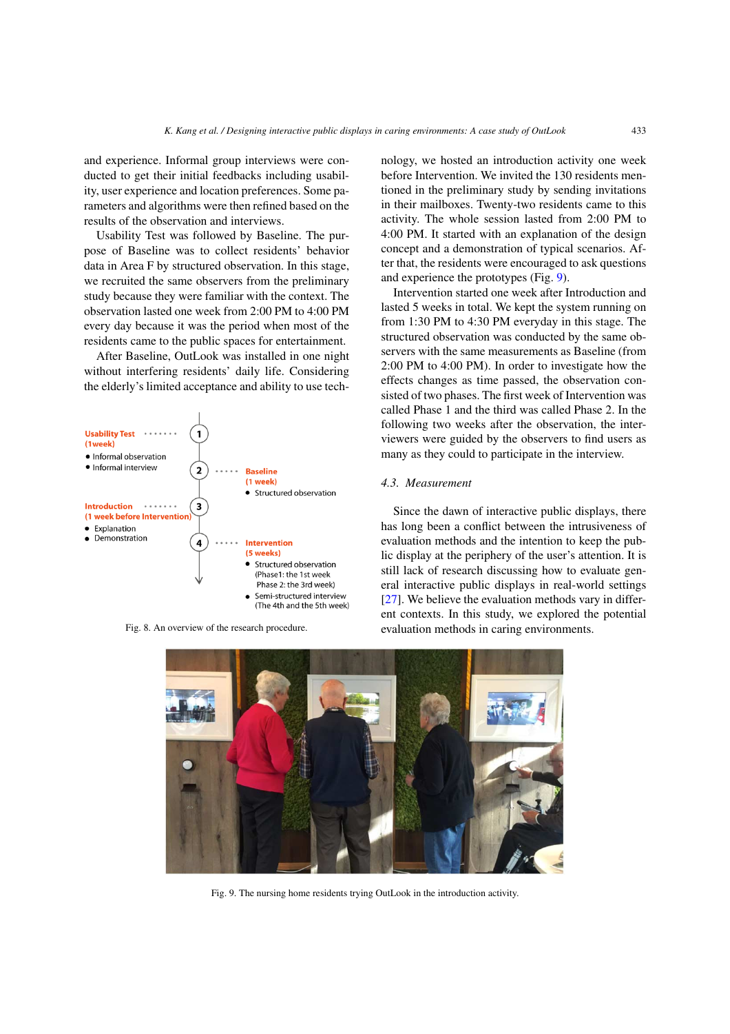and experience. Informal group interviews were conducted to get their initial feedbacks including usability, user experience and location preferences. Some parameters and algorithms were then refined based on the results of the observation and interviews.

Usability Test was followed by Baseline. The purpose of Baseline was to collect residents' behavior data in Area F by structured observation. In this stage, we recruited the same observers from the preliminary study because they were familiar with the context. The observation lasted one week from 2:00 PM to 4:00 PM every day because it was the period when most of the residents came to the public spaces for entertainment.

After Baseline, OutLook was installed in one night without interfering residents' daily life. Considering the elderly's limited acceptance and ability to use tech-



Fig. 8. An overview of the research procedure.

nology, we hosted an introduction activity one week before Intervention. We invited the 130 residents mentioned in the preliminary study by sending invitations in their mailboxes. Twenty-two residents came to this activity. The whole session lasted from 2:00 PM to 4:00 PM. It started with an explanation of the design concept and a demonstration of typical scenarios. After that, the residents were encouraged to ask questions and experience the prototypes (Fig. [9\)](#page-6-1).

Intervention started one week after Introduction and lasted 5 weeks in total. We kept the system running on from 1:30 PM to 4:30 PM everyday in this stage. The structured observation was conducted by the same observers with the same measurements as Baseline (from 2:00 PM to 4:00 PM). In order to investigate how the effects changes as time passed, the observation consisted of two phases. The first week of Intervention was called Phase 1 and the third was called Phase 2. In the following two weeks after the observation, the interviewers were guided by the observers to find users as many as they could to participate in the interview.

## *4.3. Measurement*

Since the dawn of interactive public displays, there has long been a conflict between the intrusiveness of evaluation methods and the intention to keep the public display at the periphery of the user's attention. It is still lack of research discussing how to evaluate general interactive public displays in real-world settings [\[27\]](#page-16-23). We believe the evaluation methods vary in different contexts. In this study, we explored the potential evaluation methods in caring environments.

<span id="page-6-1"></span><span id="page-6-0"></span>

Fig. 9. The nursing home residents trying OutLook in the introduction activity.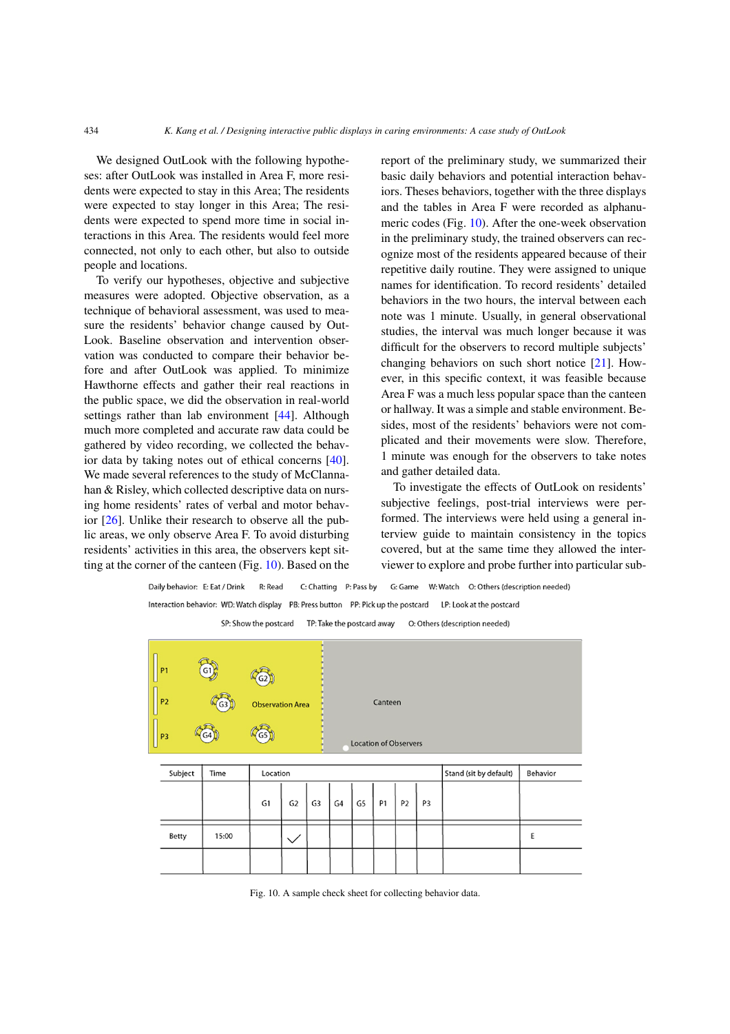We designed OutLook with the following hypotheses: after OutLook was installed in Area F, more residents were expected to stay in this Area; The residents were expected to stay longer in this Area; The residents were expected to spend more time in social interactions in this Area. The residents would feel more connected, not only to each other, but also to outside people and locations.

To verify our hypotheses, objective and subjective measures were adopted. Objective observation, as a technique of behavioral assessment, was used to measure the residents' behavior change caused by Out-Look. Baseline observation and intervention observation was conducted to compare their behavior before and after OutLook was applied. To minimize Hawthorne effects and gather their real reactions in the public space, we did the observation in real-world settings rather than lab environment [\[44\]](#page-16-24). Although much more completed and accurate raw data could be gathered by video recording, we collected the behavior data by taking notes out of ethical concerns [\[40\]](#page-16-25). We made several references to the study of McClannahan & Risley, which collected descriptive data on nursing home residents' rates of verbal and motor behavior [\[26](#page-16-0)]. Unlike their research to observe all the public areas, we only observe Area F. To avoid disturbing residents' activities in this area, the observers kept sitting at the corner of the canteen (Fig. [10\)](#page-7-0). Based on the report of the preliminary study, we summarized their basic daily behaviors and potential interaction behaviors. Theses behaviors, together with the three displays and the tables in Area F were recorded as alphanumeric codes (Fig. [10\)](#page-7-0). After the one-week observation in the preliminary study, the trained observers can recognize most of the residents appeared because of their repetitive daily routine. They were assigned to unique names for identification. To record residents' detailed behaviors in the two hours, the interval between each note was 1 minute. Usually, in general observational studies, the interval was much longer because it was difficult for the observers to record multiple subjects' changing behaviors on such short notice [\[21\]](#page-15-3). However, in this specific context, it was feasible because Area F was a much less popular space than the canteen or hallway. It was a simple and stable environment. Besides, most of the residents' behaviors were not complicated and their movements were slow. Therefore, 1 minute was enough for the observers to take notes and gather detailed data.

To investigate the effects of OutLook on residents' subjective feelings, post-trial interviews were performed. The interviews were held using a general interview guide to maintain consistency in the topics covered, but at the same time they allowed the interviewer to explore and probe further into particular sub-

G: Game W: Watch O: Others (description needed) Daily behavior: E: Eat / Drink R: Read C: Chatting P: Pass by Interaction behavior: WD: Watch display PB: Press button PP: Pick up the postcard LP: Look at the postcard SP: Show the postcard TP: Take the postcard away O: Others (description needed)

| P <sub>1</sub><br>P <sub>2</sub> | $\left( \frac{G1}{2} \right)$<br>G <sub>3</sub> | G2<br><b>Observation Area</b> |                |    |    |    | Canteen                      |                |    |                        |          |
|----------------------------------|-------------------------------------------------|-------------------------------|----------------|----|----|----|------------------------------|----------------|----|------------------------|----------|
| P <sub>3</sub>                   | (G4 I                                           | (G5)                          |                |    |    |    | <b>Location of Observers</b> |                |    |                        |          |
| Subject                          | Time                                            | Location                      |                |    |    |    |                              |                |    | Stand (sit by default) | Behavior |
|                                  |                                                 | G1                            | G <sub>2</sub> | G3 | G4 | G5 | P1                           | P <sub>2</sub> | P3 |                        |          |
| Betty                            | 15:00                                           |                               | $\checkmark$   |    |    |    |                              |                |    |                        | E        |
|                                  |                                                 |                               |                |    |    |    |                              |                |    |                        |          |

<span id="page-7-0"></span>Fig. 10. A sample check sheet for collecting behavior data.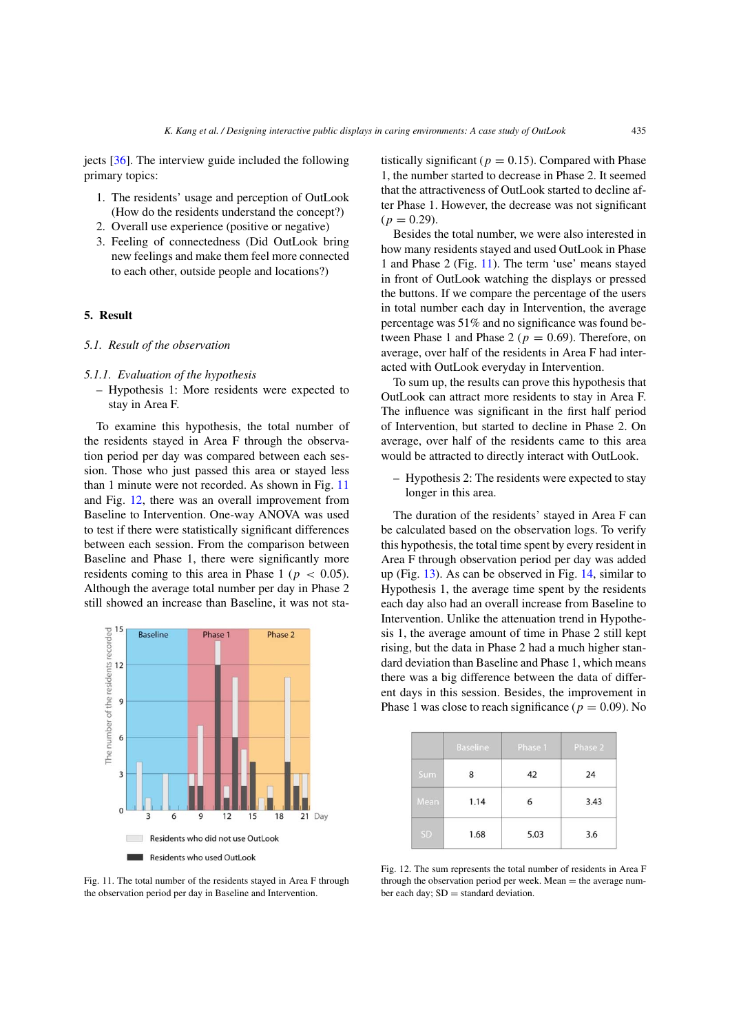jects [\[36\]](#page-16-11). The interview guide included the following primary topics:

- 1. The residents' usage and perception of OutLook (How do the residents understand the concept?)
- 2. Overall use experience (positive or negative)
- 3. Feeling of connectedness (Did OutLook bring new feelings and make them feel more connected to each other, outside people and locations?)

# **5. Result**

## *5.1. Result of the observation*

#### *5.1.1. Evaluation of the hypothesis*

– Hypothesis 1: More residents were expected to stay in Area F.

To examine this hypothesis, the total number of the residents stayed in Area F through the observation period per day was compared between each session. Those who just passed this area or stayed less than 1 minute were not recorded. As shown in Fig. [11](#page-8-0) and Fig. [12,](#page-8-1) there was an overall improvement from Baseline to Intervention. One-way ANOVA was used to test if there were statistically significant differences between each session. From the comparison between Baseline and Phase 1, there were significantly more residents coming to this area in Phase 1 ( $p < 0.05$ ). Although the average total number per day in Phase 2 still showed an increase than Baseline, it was not sta-



<span id="page-8-0"></span>Fig. 11. The total number of the residents stayed in Area F through the observation period per day in Baseline and Intervention.

tistically significant ( $p = 0.15$ ). Compared with Phase 1, the number started to decrease in Phase 2. It seemed that the attractiveness of OutLook started to decline after Phase 1. However, the decrease was not significant  $(p = 0.29)$ .

Besides the total number, we were also interested in how many residents stayed and used OutLook in Phase 1 and Phase 2 (Fig. [11\)](#page-8-0). The term 'use' means stayed in front of OutLook watching the displays or pressed the buttons. If we compare the percentage of the users in total number each day in Intervention, the average percentage was 51% and no significance was found between Phase 1 and Phase 2 ( $p = 0.69$ ). Therefore, on average, over half of the residents in Area F had interacted with OutLook everyday in Intervention.

To sum up, the results can prove this hypothesis that OutLook can attract more residents to stay in Area F. The influence was significant in the first half period of Intervention, but started to decline in Phase 2. On average, over half of the residents came to this area would be attracted to directly interact with OutLook.

– Hypothesis 2: The residents were expected to stay longer in this area.

The duration of the residents' stayed in Area F can be calculated based on the observation logs. To verify this hypothesis, the total time spent by every resident in Area F through observation period per day was added up (Fig. [13\)](#page-9-0). As can be observed in Fig. [14,](#page-9-1) similar to Hypothesis 1, the average time spent by the residents each day also had an overall increase from Baseline to Intervention. Unlike the attenuation trend in Hypothesis 1, the average amount of time in Phase 2 still kept rising, but the data in Phase 2 had a much higher standard deviation than Baseline and Phase 1, which means there was a big difference between the data of different days in this session. Besides, the improvement in Phase 1 was close to reach significance ( $p = 0.09$ ). No

|      | <b>Baseline</b> | Phase 1 | Phase 2 |
|------|-----------------|---------|---------|
| Sum  | 8               | 42      | 24      |
| Mean | 1.14            | 6       | 3.43    |
| SD   | 1.68            | 5.03    | 3.6     |

<span id="page-8-1"></span>Fig. 12. The sum represents the total number of residents in Area F through the observation period per week. Mean  $=$  the average number each day; SD = standard deviation.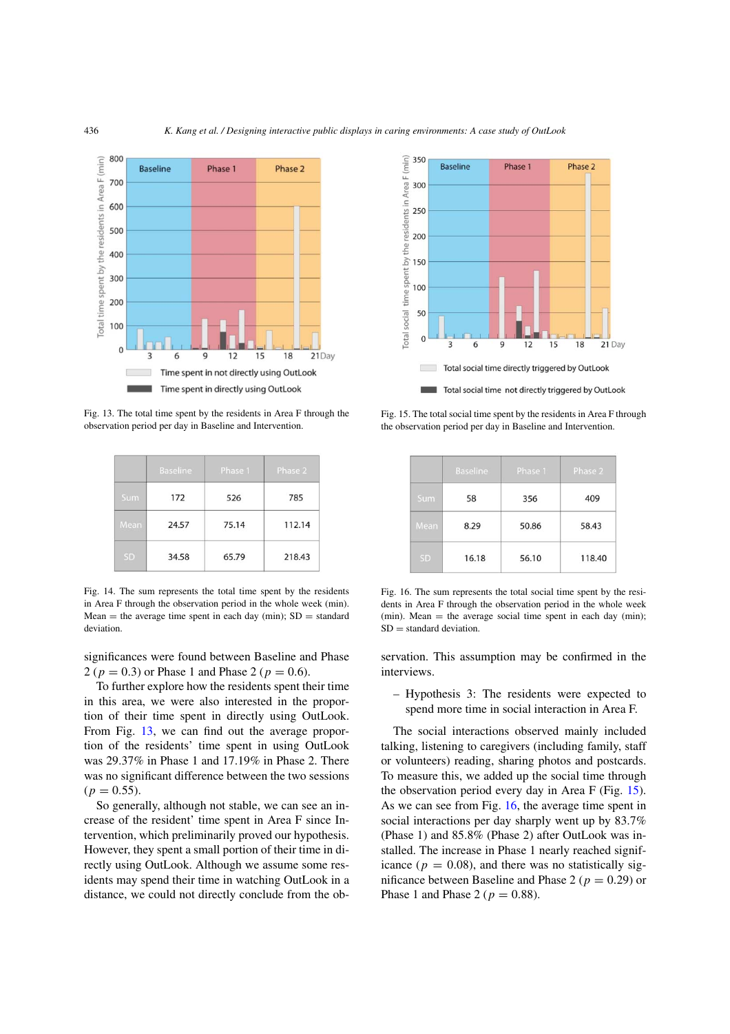

<span id="page-9-0"></span>Fig. 13. The total time spent by the residents in Area F through the observation period per day in Baseline and Intervention.

|           | <b>Baseline</b> | Phase 1 | Phase 2 |
|-----------|-----------------|---------|---------|
| Sum       | 172             | 526     | 785     |
| Mean      | 24.57           | 75.14   | 112.14  |
| <b>SD</b> | 34.58           | 65.79   | 218.43  |

<span id="page-9-1"></span>Fig. 14. The sum represents the total time spent by the residents in Area F through the observation period in the whole week (min). Mean = the average time spent in each day (min);  $SD = standard$ deviation.

significances were found between Baseline and Phase 2 ( $p = 0.3$ ) or Phase 1 and Phase 2 ( $p = 0.6$ ).

To further explore how the residents spent their time in this area, we were also interested in the proportion of their time spent in directly using OutLook. From Fig. [13,](#page-9-0) we can find out the average proportion of the residents' time spent in using OutLook was 29.37% in Phase 1 and 17.19% in Phase 2. There was no significant difference between the two sessions  $(p = 0.55)$ .

So generally, although not stable, we can see an increase of the resident' time spent in Area F since Intervention, which preliminarily proved our hypothesis. However, they spent a small portion of their time in directly using OutLook. Although we assume some residents may spend their time in watching OutLook in a distance, we could not directly conclude from the ob-



<span id="page-9-2"></span>Fig. 15. The total social time spent by the residents in Area F through the observation period per day in Baseline and Intervention.

|            | Baseline | Phase 1 | Phase 2 |
|------------|----------|---------|---------|
| <b>Sum</b> | 58       | 356     | 409     |
| Mean       | 8.29     | 50.86   | 58.43   |
| SD         | 16.18    | 56.10   | 118.40  |

<span id="page-9-3"></span>Fig. 16. The sum represents the total social time spent by the residents in Area F through the observation period in the whole week (min). Mean  $=$  the average social time spent in each day (min);  $SD =$  standard deviation.

servation. This assumption may be confirmed in the interviews.

– Hypothesis 3: The residents were expected to spend more time in social interaction in Area F.

The social interactions observed mainly included talking, listening to caregivers (including family, staff or volunteers) reading, sharing photos and postcards. To measure this, we added up the social time through the observation period every day in Area F (Fig. [15\)](#page-9-2). As we can see from Fig. [16,](#page-9-3) the average time spent in social interactions per day sharply went up by 83.7% (Phase 1) and 85.8% (Phase 2) after OutLook was installed. The increase in Phase 1 nearly reached significance ( $p = 0.08$ ), and there was no statistically significance between Baseline and Phase 2 ( $p = 0.29$ ) or Phase 1 and Phase 2 ( $p = 0.88$ ).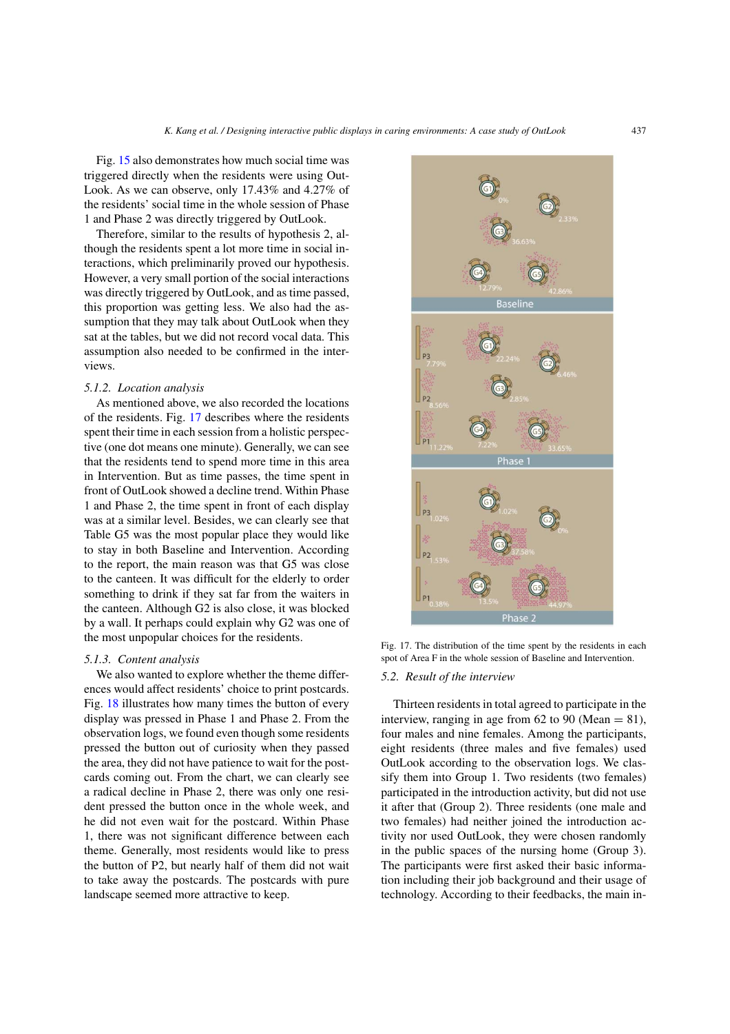Fig. [15](#page-9-2) also demonstrates how much social time was triggered directly when the residents were using Out-Look. As we can observe, only 17.43% and 4.27% of the residents' social time in the whole session of Phase 1 and Phase 2 was directly triggered by OutLook.

Therefore, similar to the results of hypothesis 2, although the residents spent a lot more time in social interactions, which preliminarily proved our hypothesis. However, a very small portion of the social interactions was directly triggered by OutLook, and as time passed, this proportion was getting less. We also had the assumption that they may talk about OutLook when they sat at the tables, but we did not record vocal data. This assumption also needed to be confirmed in the interviews.

#### *5.1.2. Location analysis*

As mentioned above, we also recorded the locations of the residents. Fig. [17](#page-10-0) describes where the residents spent their time in each session from a holistic perspective (one dot means one minute). Generally, we can see that the residents tend to spend more time in this area in Intervention. But as time passes, the time spent in front of OutLook showed a decline trend. Within Phase 1 and Phase 2, the time spent in front of each display was at a similar level. Besides, we can clearly see that Table G5 was the most popular place they would like to stay in both Baseline and Intervention. According to the report, the main reason was that G5 was close to the canteen. It was difficult for the elderly to order something to drink if they sat far from the waiters in the canteen. Although G2 is also close, it was blocked by a wall. It perhaps could explain why G2 was one of the most unpopular choices for the residents.

#### *5.1.3. Content analysis*

We also wanted to explore whether the theme differences would affect residents' choice to print postcards. Fig. [18](#page-11-0) illustrates how many times the button of every display was pressed in Phase 1 and Phase 2. From the observation logs, we found even though some residents pressed the button out of curiosity when they passed the area, they did not have patience to wait for the postcards coming out. From the chart, we can clearly see a radical decline in Phase 2, there was only one resident pressed the button once in the whole week, and he did not even wait for the postcard. Within Phase 1, there was not significant difference between each theme. Generally, most residents would like to press the button of P2, but nearly half of them did not wait to take away the postcards. The postcards with pure landscape seemed more attractive to keep.



Fig. 17. The distribution of the time spent by the residents in each spot of Area F in the whole session of Baseline and Intervention.

#### <span id="page-10-0"></span>*5.2. Result of the interview*

Thirteen residents in total agreed to participate in the interview, ranging in age from 62 to 90 (Mean  $= 81$ ), four males and nine females. Among the participants, eight residents (three males and five females) used OutLook according to the observation logs. We classify them into Group 1. Two residents (two females) participated in the introduction activity, but did not use it after that (Group 2). Three residents (one male and two females) had neither joined the introduction activity nor used OutLook, they were chosen randomly in the public spaces of the nursing home (Group 3). The participants were first asked their basic information including their job background and their usage of technology. According to their feedbacks, the main in-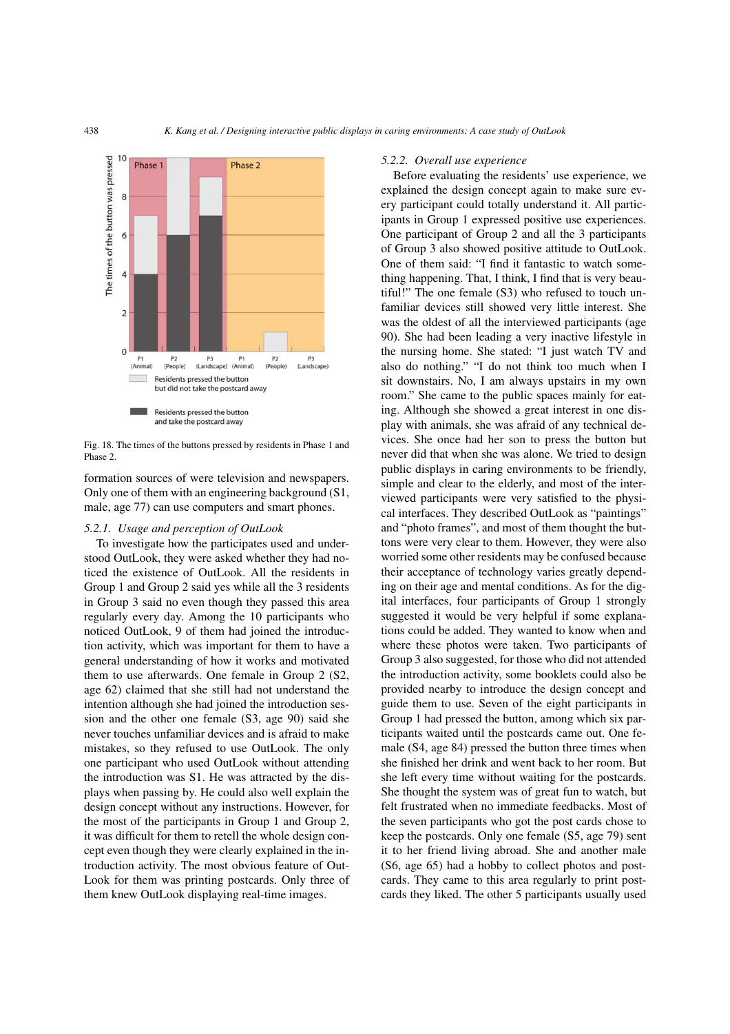

<span id="page-11-0"></span>Fig. 18. The times of the buttons pressed by residents in Phase 1 and Phase 2.

formation sources of were television and newspapers. Only one of them with an engineering background (S1, male, age 77) can use computers and smart phones.

#### *5.2.1. Usage and perception of OutLook*

To investigate how the participates used and understood OutLook, they were asked whether they had noticed the existence of OutLook. All the residents in Group 1 and Group 2 said yes while all the 3 residents in Group 3 said no even though they passed this area regularly every day. Among the 10 participants who noticed OutLook, 9 of them had joined the introduction activity, which was important for them to have a general understanding of how it works and motivated them to use afterwards. One female in Group 2 (S2, age 62) claimed that she still had not understand the intention although she had joined the introduction session and the other one female (S3, age 90) said she never touches unfamiliar devices and is afraid to make mistakes, so they refused to use OutLook. The only one participant who used OutLook without attending the introduction was S1. He was attracted by the displays when passing by. He could also well explain the design concept without any instructions. However, for the most of the participants in Group 1 and Group 2, it was difficult for them to retell the whole design concept even though they were clearly explained in the introduction activity. The most obvious feature of Out-Look for them was printing postcards. Only three of them knew OutLook displaying real-time images.

#### *5.2.2. Overall use experience*

Before evaluating the residents' use experience, we explained the design concept again to make sure every participant could totally understand it. All participants in Group 1 expressed positive use experiences. One participant of Group 2 and all the 3 participants of Group 3 also showed positive attitude to OutLook. One of them said: "I find it fantastic to watch something happening. That, I think, I find that is very beautiful!" The one female (S3) who refused to touch unfamiliar devices still showed very little interest. She was the oldest of all the interviewed participants (age 90). She had been leading a very inactive lifestyle in the nursing home. She stated: "I just watch TV and also do nothing." "I do not think too much when I sit downstairs. No, I am always upstairs in my own room." She came to the public spaces mainly for eating. Although she showed a great interest in one display with animals, she was afraid of any technical devices. She once had her son to press the button but never did that when she was alone. We tried to design public displays in caring environments to be friendly, simple and clear to the elderly, and most of the interviewed participants were very satisfied to the physical interfaces. They described OutLook as "paintings" and "photo frames", and most of them thought the buttons were very clear to them. However, they were also worried some other residents may be confused because their acceptance of technology varies greatly depending on their age and mental conditions. As for the digital interfaces, four participants of Group 1 strongly suggested it would be very helpful if some explanations could be added. They wanted to know when and where these photos were taken. Two participants of Group 3 also suggested, for those who did not attended the introduction activity, some booklets could also be provided nearby to introduce the design concept and guide them to use. Seven of the eight participants in Group 1 had pressed the button, among which six participants waited until the postcards came out. One female (S4, age 84) pressed the button three times when she finished her drink and went back to her room. But she left every time without waiting for the postcards. She thought the system was of great fun to watch, but felt frustrated when no immediate feedbacks. Most of the seven participants who got the post cards chose to keep the postcards. Only one female (S5, age 79) sent it to her friend living abroad. She and another male (S6, age 65) had a hobby to collect photos and postcards. They came to this area regularly to print postcards they liked. The other 5 participants usually used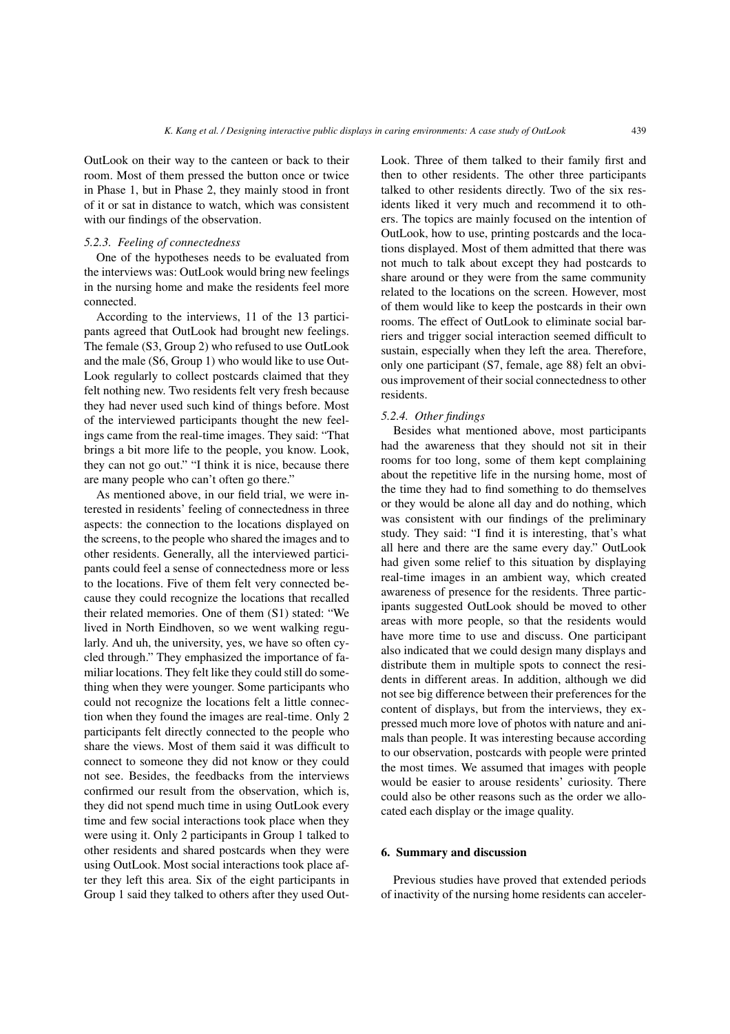OutLook on their way to the canteen or back to their room. Most of them pressed the button once or twice in Phase 1, but in Phase 2, they mainly stood in front of it or sat in distance to watch, which was consistent with our findings of the observation.

#### *5.2.3. Feeling of connectedness*

One of the hypotheses needs to be evaluated from the interviews was: OutLook would bring new feelings in the nursing home and make the residents feel more connected.

According to the interviews, 11 of the 13 participants agreed that OutLook had brought new feelings. The female (S3, Group 2) who refused to use OutLook and the male (S6, Group 1) who would like to use Out-Look regularly to collect postcards claimed that they felt nothing new. Two residents felt very fresh because they had never used such kind of things before. Most of the interviewed participants thought the new feelings came from the real-time images. They said: "That brings a bit more life to the people, you know. Look, they can not go out." "I think it is nice, because there are many people who can't often go there."

As mentioned above, in our field trial, we were interested in residents' feeling of connectedness in three aspects: the connection to the locations displayed on the screens, to the people who shared the images and to other residents. Generally, all the interviewed participants could feel a sense of connectedness more or less to the locations. Five of them felt very connected because they could recognize the locations that recalled their related memories. One of them (S1) stated: "We lived in North Eindhoven, so we went walking regularly. And uh, the university, yes, we have so often cycled through." They emphasized the importance of familiar locations. They felt like they could still do something when they were younger. Some participants who could not recognize the locations felt a little connection when they found the images are real-time. Only 2 participants felt directly connected to the people who share the views. Most of them said it was difficult to connect to someone they did not know or they could not see. Besides, the feedbacks from the interviews confirmed our result from the observation, which is, they did not spend much time in using OutLook every time and few social interactions took place when they were using it. Only 2 participants in Group 1 talked to other residents and shared postcards when they were using OutLook. Most social interactions took place after they left this area. Six of the eight participants in Group 1 said they talked to others after they used OutLook. Three of them talked to their family first and then to other residents. The other three participants talked to other residents directly. Two of the six residents liked it very much and recommend it to others. The topics are mainly focused on the intention of OutLook, how to use, printing postcards and the locations displayed. Most of them admitted that there was not much to talk about except they had postcards to share around or they were from the same community related to the locations on the screen. However, most of them would like to keep the postcards in their own rooms. The effect of OutLook to eliminate social barriers and trigger social interaction seemed difficult to sustain, especially when they left the area. Therefore, only one participant (S7, female, age 88) felt an obvious improvement of their social connectedness to other residents.

#### *5.2.4. Other findings*

Besides what mentioned above, most participants had the awareness that they should not sit in their rooms for too long, some of them kept complaining about the repetitive life in the nursing home, most of the time they had to find something to do themselves or they would be alone all day and do nothing, which was consistent with our findings of the preliminary study. They said: "I find it is interesting, that's what all here and there are the same every day." OutLook had given some relief to this situation by displaying real-time images in an ambient way, which created awareness of presence for the residents. Three participants suggested OutLook should be moved to other areas with more people, so that the residents would have more time to use and discuss. One participant also indicated that we could design many displays and distribute them in multiple spots to connect the residents in different areas. In addition, although we did not see big difference between their preferences for the content of displays, but from the interviews, they expressed much more love of photos with nature and animals than people. It was interesting because according to our observation, postcards with people were printed the most times. We assumed that images with people would be easier to arouse residents' curiosity. There could also be other reasons such as the order we allocated each display or the image quality.

# **6. Summary and discussion**

Previous studies have proved that extended periods of inactivity of the nursing home residents can acceler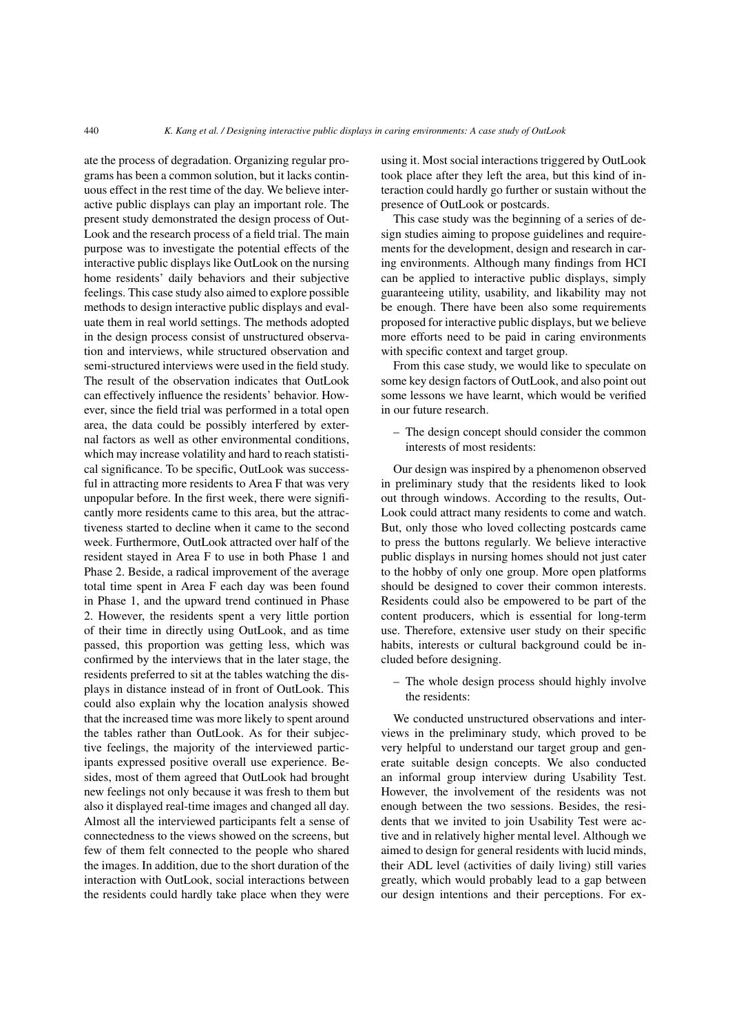ate the process of degradation. Organizing regular programs has been a common solution, but it lacks continuous effect in the rest time of the day. We believe interactive public displays can play an important role. The present study demonstrated the design process of Out-Look and the research process of a field trial. The main purpose was to investigate the potential effects of the interactive public displays like OutLook on the nursing home residents' daily behaviors and their subjective feelings. This case study also aimed to explore possible methods to design interactive public displays and evaluate them in real world settings. The methods adopted in the design process consist of unstructured observation and interviews, while structured observation and semi-structured interviews were used in the field study. The result of the observation indicates that OutLook can effectively influence the residents' behavior. However, since the field trial was performed in a total open area, the data could be possibly interfered by external factors as well as other environmental conditions, which may increase volatility and hard to reach statistical significance. To be specific, OutLook was successful in attracting more residents to Area F that was very unpopular before. In the first week, there were significantly more residents came to this area, but the attractiveness started to decline when it came to the second week. Furthermore, OutLook attracted over half of the resident stayed in Area F to use in both Phase 1 and Phase 2. Beside, a radical improvement of the average total time spent in Area F each day was been found in Phase 1, and the upward trend continued in Phase 2. However, the residents spent a very little portion of their time in directly using OutLook, and as time passed, this proportion was getting less, which was confirmed by the interviews that in the later stage, the residents preferred to sit at the tables watching the displays in distance instead of in front of OutLook. This could also explain why the location analysis showed that the increased time was more likely to spent around the tables rather than OutLook. As for their subjective feelings, the majority of the interviewed participants expressed positive overall use experience. Besides, most of them agreed that OutLook had brought new feelings not only because it was fresh to them but also it displayed real-time images and changed all day. Almost all the interviewed participants felt a sense of connectedness to the views showed on the screens, but few of them felt connected to the people who shared the images. In addition, due to the short duration of the interaction with OutLook, social interactions between the residents could hardly take place when they were using it. Most social interactions triggered by OutLook took place after they left the area, but this kind of interaction could hardly go further or sustain without the presence of OutLook or postcards.

This case study was the beginning of a series of design studies aiming to propose guidelines and requirements for the development, design and research in caring environments. Although many findings from HCI can be applied to interactive public displays, simply guaranteeing utility, usability, and likability may not be enough. There have been also some requirements proposed for interactive public displays, but we believe more efforts need to be paid in caring environments with specific context and target group.

From this case study, we would like to speculate on some key design factors of OutLook, and also point out some lessons we have learnt, which would be verified in our future research.

– The design concept should consider the common interests of most residents:

Our design was inspired by a phenomenon observed in preliminary study that the residents liked to look out through windows. According to the results, Out-Look could attract many residents to come and watch. But, only those who loved collecting postcards came to press the buttons regularly. We believe interactive public displays in nursing homes should not just cater to the hobby of only one group. More open platforms should be designed to cover their common interests. Residents could also be empowered to be part of the content producers, which is essential for long-term use. Therefore, extensive user study on their specific habits, interests or cultural background could be included before designing.

– The whole design process should highly involve the residents:

We conducted unstructured observations and interviews in the preliminary study, which proved to be very helpful to understand our target group and generate suitable design concepts. We also conducted an informal group interview during Usability Test. However, the involvement of the residents was not enough between the two sessions. Besides, the residents that we invited to join Usability Test were active and in relatively higher mental level. Although we aimed to design for general residents with lucid minds, their ADL level (activities of daily living) still varies greatly, which would probably lead to a gap between our design intentions and their perceptions. For ex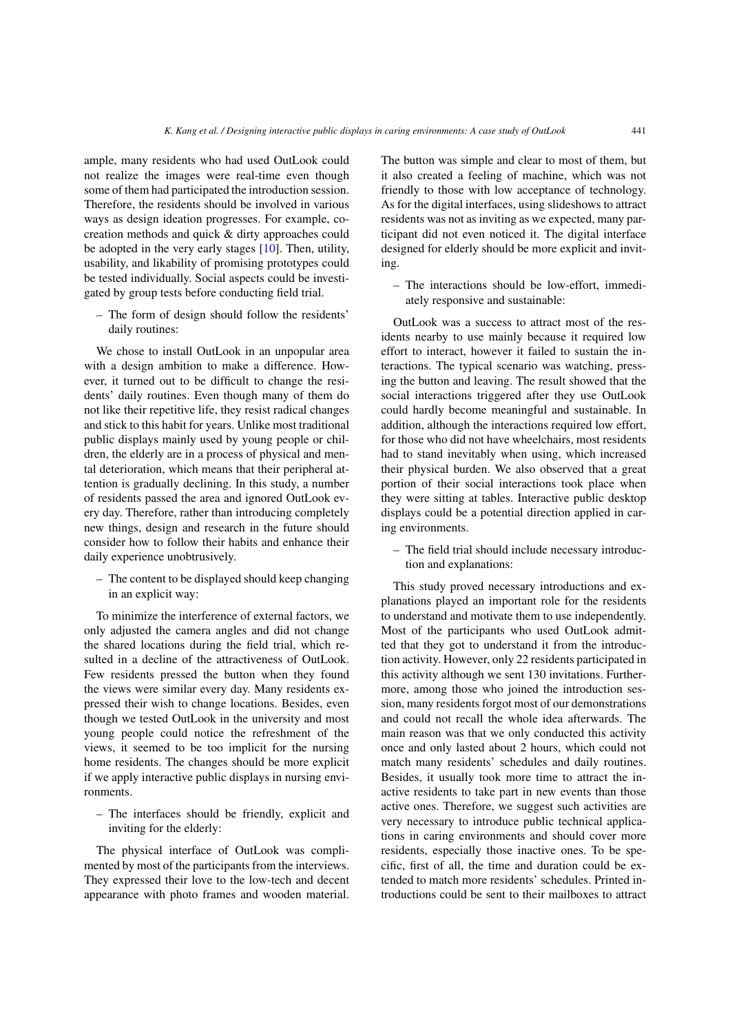ample, many residents who had used OutLook could not realize the images were real-time even though some of them had participated the introduction session. Therefore, the residents should be involved in various ways as design ideation progresses. For example, cocreation methods and quick & dirty approaches could be adopted in the very early stages [\[10\]](#page-15-21). Then, utility, usability, and likability of promising prototypes could be tested individually. Social aspects could be investigated by group tests before conducting field trial.

– The form of design should follow the residents' daily routines:

We chose to install OutLook in an unpopular area with a design ambition to make a difference. However, it turned out to be difficult to change the residents' daily routines. Even though many of them do not like their repetitive life, they resist radical changes and stick to this habit for years. Unlike most traditional public displays mainly used by young people or children, the elderly are in a process of physical and mental deterioration, which means that their peripheral attention is gradually declining. In this study, a number of residents passed the area and ignored OutLook every day. Therefore, rather than introducing completely new things, design and research in the future should consider how to follow their habits and enhance their daily experience unobtrusively.

– The content to be displayed should keep changing in an explicit way:

To minimize the interference of external factors, we only adjusted the camera angles and did not change the shared locations during the field trial, which resulted in a decline of the attractiveness of OutLook. Few residents pressed the button when they found the views were similar every day. Many residents expressed their wish to change locations. Besides, even though we tested OutLook in the university and most young people could notice the refreshment of the views, it seemed to be too implicit for the nursing home residents. The changes should be more explicit if we apply interactive public displays in nursing environments.

– The interfaces should be friendly, explicit and inviting for the elderly:

The physical interface of OutLook was complimented by most of the participants from the interviews. They expressed their love to the low-tech and decent appearance with photo frames and wooden material. The button was simple and clear to most of them, but it also created a feeling of machine, which was not friendly to those with low acceptance of technology. As for the digital interfaces, using slideshows to attract residents was not as inviting as we expected, many participant did not even noticed it. The digital interface designed for elderly should be more explicit and inviting.

– The interactions should be low-effort, immediately responsive and sustainable:

OutLook was a success to attract most of the residents nearby to use mainly because it required low effort to interact, however it failed to sustain the interactions. The typical scenario was watching, pressing the button and leaving. The result showed that the social interactions triggered after they use OutLook could hardly become meaningful and sustainable. In addition, although the interactions required low effort, for those who did not have wheelchairs, most residents had to stand inevitably when using, which increased their physical burden. We also observed that a great portion of their social interactions took place when they were sitting at tables. Interactive public desktop displays could be a potential direction applied in caring environments.

– The field trial should include necessary introduction and explanations:

This study proved necessary introductions and explanations played an important role for the residents to understand and motivate them to use independently. Most of the participants who used OutLook admitted that they got to understand it from the introduction activity. However, only 22 residents participated in this activity although we sent 130 invitations. Furthermore, among those who joined the introduction session, many residents forgot most of our demonstrations and could not recall the whole idea afterwards. The main reason was that we only conducted this activity once and only lasted about 2 hours, which could not match many residents' schedules and daily routines. Besides, it usually took more time to attract the inactive residents to take part in new events than those active ones. Therefore, we suggest such activities are very necessary to introduce public technical applications in caring environments and should cover more residents, especially those inactive ones. To be specific, first of all, the time and duration could be extended to match more residents' schedules. Printed introductions could be sent to their mailboxes to attract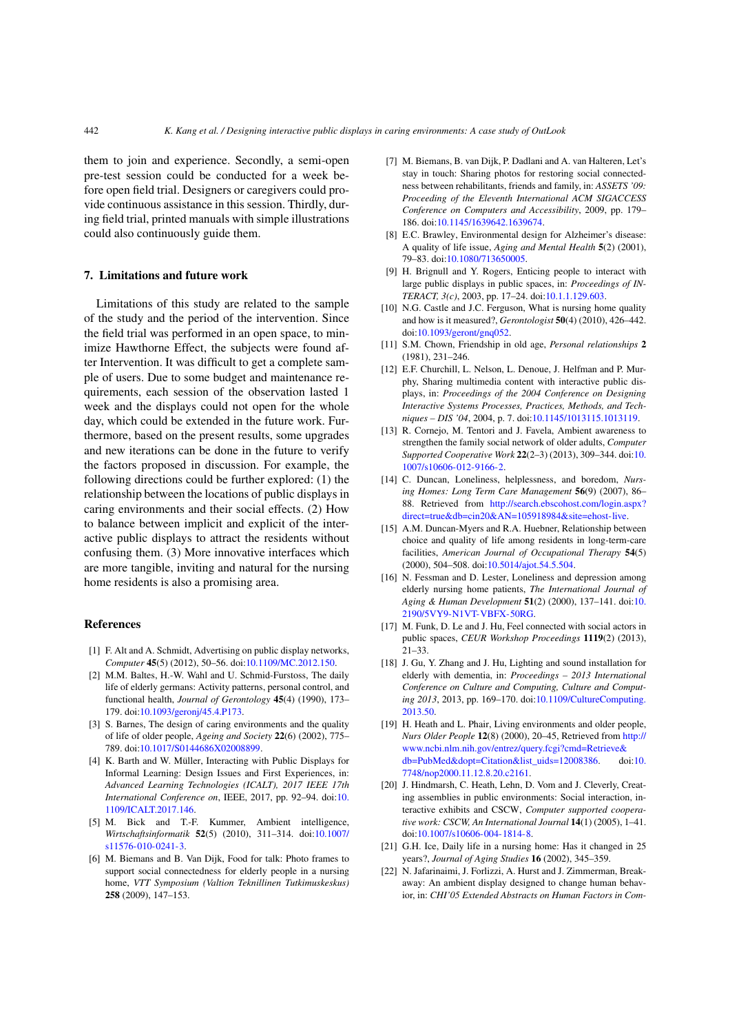them to join and experience. Secondly, a semi-open pre-test session could be conducted for a week before open field trial. Designers or caregivers could provide continuous assistance in this session. Thirdly, during field trial, printed manuals with simple illustrations could also continuously guide them.

## **7. Limitations and future work**

Limitations of this study are related to the sample of the study and the period of the intervention. Since the field trial was performed in an open space, to minimize Hawthorne Effect, the subjects were found after Intervention. It was difficult to get a complete sample of users. Due to some budget and maintenance requirements, each session of the observation lasted 1 week and the displays could not open for the whole day, which could be extended in the future work. Furthermore, based on the present results, some upgrades and new iterations can be done in the future to verify the factors proposed in discussion. For example, the following directions could be further explored: (1) the relationship between the locations of public displays in caring environments and their social effects. (2) How to balance between implicit and explicit of the interactive public displays to attract the residents without confusing them. (3) More innovative interfaces which are more tangible, inviting and natural for the nursing home residents is also a promising area.

## **References**

- <span id="page-15-10"></span>[1] F. Alt and A. Schmidt, Advertising on public display networks, *Computer* **45**(5) (2012), 50–56. doi[:10.1109/MC.2012.150.](http://dx.doi.org/10.1109/MC.2012.150)
- <span id="page-15-4"></span>[2] M.M. Baltes, H.-W. Wahl and U. Schmid-Furstoss, The daily life of elderly germans: Activity patterns, personal control, and functional health, *Journal of Gerontology* **45**(4) (1990), 173– 179. doi[:10.1093/geronj/45.4.P173.](http://dx.doi.org/10.1093/geronj/45.4.P173)
- <span id="page-15-0"></span>[3] S. Barnes, The design of caring environments and the quality of life of older people, *Ageing and Society* **22**(6) (2002), 775– 789. doi[:10.1017/S0144686X02008899.](http://dx.doi.org/10.1017/S0144686X02008899)
- <span id="page-15-7"></span>[4] K. Barth and W. Müller, Interacting with Public Displays for Informal Learning: Design Issues and First Experiences, in: *Advanced Learning Technologies (ICALT), 2017 IEEE 17th International Conference on*, IEEE, 2017, pp. 92–94. doi[:10.](http://dx.doi.org/10.1109/ICALT.2017.146) [1109/ICALT.2017.146.](http://dx.doi.org/10.1109/ICALT.2017.146)
- <span id="page-15-15"></span>[5] M. Bick and T.-F. Kummer, Ambient intelligence, *Wirtschaftsinformatik* **52**(5) (2010), 311–314. doi[:10.1007/](http://dx.doi.org/10.1007/s11576-010-0241-3) [s11576-010-0241-3.](http://dx.doi.org/10.1007/s11576-010-0241-3)
- <span id="page-15-16"></span>[6] M. Biemans and B. Van Dijk, Food for talk: Photo frames to support social connectedness for elderly people in a nursing home, *VTT Symposium (Valtion Teknillinen Tutkimuskeskus)* **258** (2009), 147–153.
- <span id="page-15-17"></span>[7] M. Biemans, B. van Dijk, P. Dadlani and A. van Halteren, Let's stay in touch: Sharing photos for restoring social connectedness between rehabilitants, friends and family, in: *ASSETS '09: Proceeding of the Eleventh International ACM SIGACCESS Conference on Computers and Accessibility*, 2009, pp. 179– 186. doi[:10.1145/1639642.1639674.](http://dx.doi.org/10.1145/1639642.1639674)
- <span id="page-15-1"></span>[8] E.C. Brawley, Environmental design for Alzheimer's disease: A quality of life issue, *Aging and Mental Health* **5**(2) (2001), 79–83. doi[:10.1080/713650005.](http://dx.doi.org/10.1080/713650005)
- <span id="page-15-8"></span>[9] H. Brignull and Y. Rogers, Enticing people to interact with large public displays in public spaces, in: *Proceedings of IN-TERACT, 3(c)*, 2003, pp. 17–24. doi[:10.1.1.129.603.](http://dx.doi.org/10.1.1.129.603)
- <span id="page-15-21"></span>[10] N.G. Castle and J.C. Ferguson, What is nursing home quality and how is it measured?, *Gerontologist* **50**(4) (2010), 426–442. doi[:10.1093/geront/gnq052.](http://dx.doi.org/10.1093/geront/gnq052)
- <span id="page-15-6"></span>[11] S.M. Chown, Friendship in old age, *Personal relationships* **2** (1981), 231–246.
- <span id="page-15-13"></span>[12] E.F. Churchill, L. Nelson, L. Denoue, J. Helfman and P. Murphy, Sharing multimedia content with interactive public displays, in: *Proceedings of the 2004 Conference on Designing Interactive Systems Processes, Practices, Methods, and Techniques – DIS '04*, 2004, p. 7. doi[:10.1145/1013115.1013119.](http://dx.doi.org/10.1145/1013115.1013119)
- <span id="page-15-18"></span>[13] R. Cornejo, M. Tentori and J. Favela, Ambient awareness to strengthen the family social network of older adults, *Computer Supported Cooperative Work* **22**(2–3) (2013), 309–344. doi[:10.](http://dx.doi.org/10.1007/s10606-012-9166-2) [1007/s10606-012-9166-2.](http://dx.doi.org/10.1007/s10606-012-9166-2)
- <span id="page-15-9"></span>[14] C. Duncan, Loneliness, helplessness, and boredom, *Nursing Homes: Long Term Care Management* **56**(9) (2007), 86– 88. Retrieved from [http://search.ebscohost.com/login.aspx?](http://search.ebscohost.com/login.aspx?direct=true&db=cin20&AN=105918984&site=ehost-live) [direct=true&db=cin20&AN=105918984&site=ehost-live.](http://search.ebscohost.com/login.aspx?direct=true&db=cin20&AN=105918984&site=ehost-live)
- <span id="page-15-5"></span>[15] A.M. Duncan-Myers and R.A. Huebner, Relationship between choice and quality of life among residents in long-term-care facilities, *American Journal of Occupational Therapy* **54**(5) (2000), 504–508. doi[:10.5014/ajot.54.5.504.](http://dx.doi.org/10.5014/ajot.54.5.504)
- <span id="page-15-19"></span>[16] N. Fessman and D. Lester, Loneliness and depression among elderly nursing home patients, *The International Journal of Aging & Human Development* **51**(2) (2000), 137–141. doi[:10.](http://dx.doi.org/10.2190/5VY9-N1VT-VBFX-50RG) [2190/5VY9-N1VT-VBFX-50RG.](http://dx.doi.org/10.2190/5VY9-N1VT-VBFX-50RG)
- <span id="page-15-11"></span>[17] M. Funk, D. Le and J. Hu, Feel connected with social actors in public spaces, *CEUR Workshop Proceedings* **1119**(2) (2013), 21–33.
- <span id="page-15-20"></span>[18] J. Gu, Y. Zhang and J. Hu, Lighting and sound installation for elderly with dementia, in: *Proceedings – 2013 International Conference on Culture and Computing, Culture and Computing 2013*, 2013, pp. 169–170. doi[:10.1109/CultureComputing.](http://dx.doi.org/10.1109/CultureComputing.2013.50) [2013.50.](http://dx.doi.org/10.1109/CultureComputing.2013.50)
- <span id="page-15-2"></span>[19] H. Heath and L. Phair, Living environments and older people, *Nurs Older People* **12**(8) (2000), 20–45, Retrieved from [http://](http://www.ncbi.nlm.nih.gov/entrez/query.fcgi?cmd=Retrieve&db=PubMed&dopt=Citation&list_uids=12008386) [www.ncbi.nlm.nih.gov/entrez/query.fcgi?cmd=Retrieve&](http://www.ncbi.nlm.nih.gov/entrez/query.fcgi?cmd=Retrieve&db=PubMed&dopt=Citation&list_uids=12008386) [db=PubMed&dopt=Citation&list\\_uids=12008386.](http://www.ncbi.nlm.nih.gov/entrez/query.fcgi?cmd=Retrieve&db=PubMed&dopt=Citation&list_uids=12008386) doi[:10.](http://dx.doi.org/10.7748/nop2000.11.12.8.20.c2161) [7748/nop2000.11.12.8.20.c2161.](http://dx.doi.org/10.7748/nop2000.11.12.8.20.c2161)
- <span id="page-15-14"></span>[20] J. Hindmarsh, C. Heath, Lehn, D. Vom and J. Cleverly, Creating assemblies in public environments: Social interaction, interactive exhibits and CSCW, *Computer supported cooperative work: CSCW, An International Journal* **14**(1) (2005), 1–41. doi[:10.1007/s10606-004-1814-8.](http://dx.doi.org/10.1007/s10606-004-1814-8)
- <span id="page-15-3"></span>[21] G.H. Ice, Daily life in a nursing home: Has it changed in 25 years?, *Journal of Aging Studies* **16** (2002), 345–359.
- <span id="page-15-12"></span>[22] N. Jafarinaimi, J. Forlizzi, A. Hurst and J. Zimmerman, Breakaway: An ambient display designed to change human behavior, in: *CHI'05 Extended Abstracts on Human Factors in Com-*